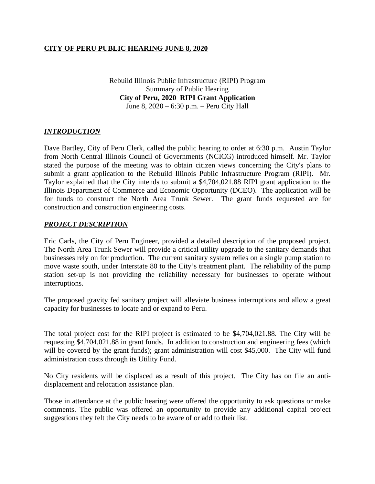Rebuild Illinois Public Infrastructure (RIPI) Program Summary of Public Hearing **City of Peru, 2020 RIPI Grant Application** June 8, 2020 – 6:30 p.m. – Peru City Hall

#### *INTRODUCTION*

Dave Bartley, City of Peru Clerk, called the public hearing to order at 6:30 p.m. Austin Taylor from North Central Illinois Council of Governments (NCICG) introduced himself. Mr. Taylor stated the purpose of the meeting was to obtain citizen views concerning the City's plans to submit a grant application to the Rebuild Illinois Public Infrastructure Program (RIPI). Mr. Taylor explained that the City intends to submit a \$4,704,021.88 RIPI grant application to the Illinois Department of Commerce and Economic Opportunity (DCEO). The application will be for funds to construct the North Area Trunk Sewer. The grant funds requested are for construction and construction engineering costs.

#### *PROJECT DESCRIPTION*

Eric Carls, the City of Peru Engineer, provided a detailed description of the proposed project. The North Area Trunk Sewer will provide a critical utility upgrade to the sanitary demands that businesses rely on for production. The current sanitary system relies on a single pump station to move waste south, under Interstate 80 to the City's treatment plant. The reliability of the pump station set-up is not providing the reliability necessary for businesses to operate without interruptions.

The proposed gravity fed sanitary project will alleviate business interruptions and allow a great capacity for businesses to locate and or expand to Peru.

The total project cost for the RIPI project is estimated to be \$4,704,021.88. The City will be requesting \$4,704,021.88 in grant funds. In addition to construction and engineering fees (which will be covered by the grant funds); grant administration will cost \$45,000. The City will fund administration costs through its Utility Fund.

No City residents will be displaced as a result of this project. The City has on file an antidisplacement and relocation assistance plan.

Those in attendance at the public hearing were offered the opportunity to ask questions or make comments. The public was offered an opportunity to provide any additional capital project suggestions they felt the City needs to be aware of or add to their list.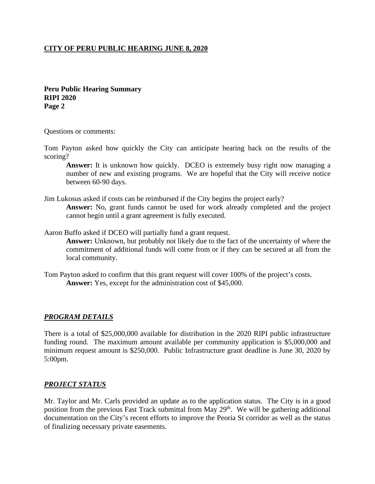**Peru Public Hearing Summary RIPI 2020 Page 2**

Questions or comments:

Tom Payton asked how quickly the City can anticipate hearing back on the results of the scoring?

**Answer:** It is unknown how quickly. DCEO is extremely busy right now managing a number of new and existing programs. We are hopeful that the City will receive notice between 60-90 days.

Jim Lukosus asked if costs can be reimbursed if the City begins the project early?

**Answer:** No, grant funds cannot be used for work already completed and the project cannot begin until a grant agreement is fully executed.

Aaron Buffo asked if DCEO will partially fund a grant request.

**Answer:** Unknown, but probably not likely due to the fact of the uncertainty of where the commitment of additional funds will come from or if they can be secured at all from the local community.

Tom Payton asked to confirm that this grant request will cover 100% of the project's costs. **Answer:** Yes, except for the administration cost of \$45,000.

#### *PROGRAM DETAILS*

There is a total of \$25,000,000 available for distribution in the 2020 RIPI public infrastructure funding round. The maximum amount available per community application is \$5,000,000 and minimum request amount is \$250,000. Public Infrastructure grant deadline is June 30, 2020 by 5:00pm.

#### *PROJECT STATUS*

Mr. Taylor and Mr. Carls provided an update as to the application status. The City is in a good position from the previous Fast Track submittal from May 29<sup>th</sup>. We will be gathering additional documentation on the City's recent efforts to improve the Peoria St corridor as well as the status of finalizing necessary private easements.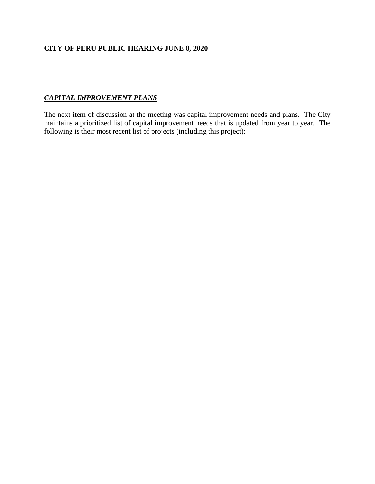# *CAPITAL IMPROVEMENT PLANS*

The next item of discussion at the meeting was capital improvement needs and plans. The City maintains a prioritized list of capital improvement needs that is updated from year to year. The following is their most recent list of projects (including this project):